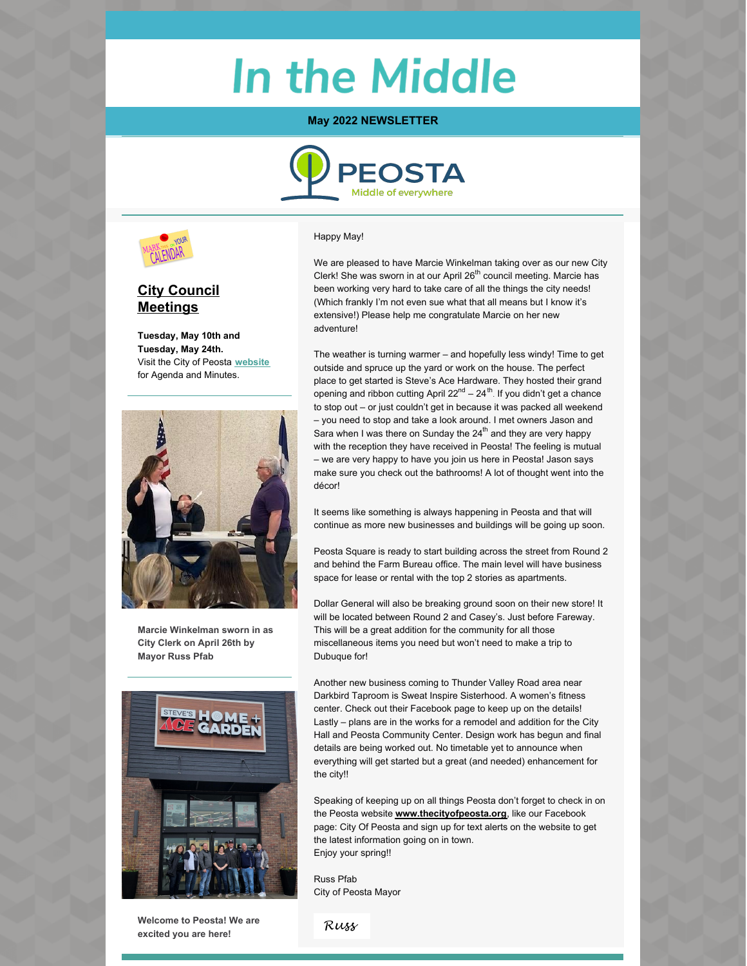# In the Middle

### **May 2022 NEWSLETTER**





**City Council Meetings**

**Tuesday, May 10th and Tuesday, May 24th.** Visit the City of Peosta **[website](https://www.cityofpeosta.org/)** for Agenda and Minutes.



**Marcie Winkelman sworn in as City Clerk on April 26th by Mayor Russ Pfab**



**Welcome to Peosta! We are excited you are here!**

#### Happy May!

We are pleased to have Marcie Winkelman taking over as our new City Clerk! She was sworn in at our April 26<sup>th</sup> council meeting. Marcie has been working very hard to take care of all the things the city needs! (Which frankly I'm not even sue what that all means but I know it's extensive!) Please help me congratulate Marcie on her new adventure!

The weather is turning warmer – and hopefully less windy! Time to get outside and spruce up the yard or work on the house. The perfect place to get started is Steve's Ace Hardware. They hosted their grand opening and ribbon cutting April 22<sup>nd</sup> – 24<sup>th</sup>. If you didn't get a chance to stop out – or just couldn't get in because it was packed all weekend – you need to stop and take a look around. I met owners Jason and Sara when I was there on Sunday the 24<sup>th</sup> and they are very happy with the reception they have received in Peosta! The feeling is mutual – we are very happy to have you join us here in Peosta! Jason says make sure you check out the bathrooms! A lot of thought went into the décor!

It seems like something is always happening in Peosta and that will continue as more new businesses and buildings will be going up soon.

Peosta Square is ready to start building across the street from Round 2 and behind the Farm Bureau office. The main level will have business space for lease or rental with the top 2 stories as apartments.

Dollar General will also be breaking ground soon on their new store! It will be located between Round 2 and Casey's. Just before Fareway. This will be a great addition for the community for all those miscellaneous items you need but won't need to make a trip to Dubuque for!

Another new business coming to Thunder Valley Road area near Darkbird Taproom is Sweat Inspire Sisterhood. A women's fitness center. Check out their Facebook page to keep up on the details! Lastly – plans are in the works for a remodel and addition for the City Hall and Peosta Community Center. Design work has begun and final details are being worked out. No timetable yet to announce when everything will get started but a great (and needed) enhancement for the city!!

Speaking of keeping up on all things Peosta don't forget to check in on the Peosta website **[www.thecityofpeosta.org](http://www.thecityofpeosta.org/)**, like our Facebook page: City Of Peosta and sign up for text alerts on the website to get the latest information going on in town. Enjoy your spring!!

Russ Pfab City of Peosta Mayor

Russ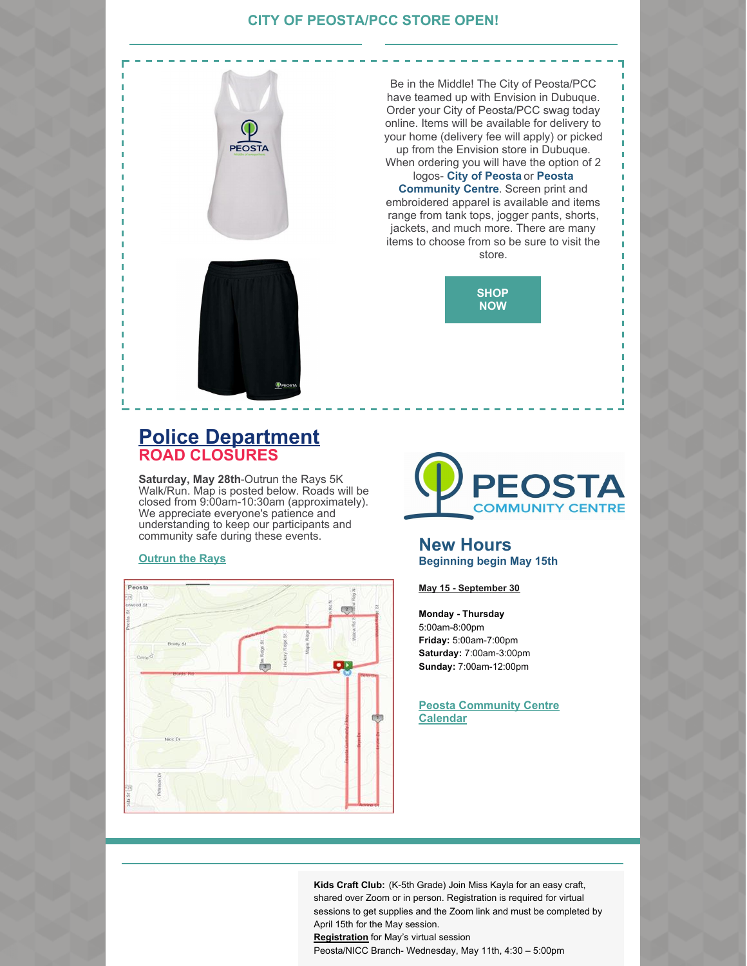# **CITY OF PEOSTA/PCC STORE OPEN!**



Be in the Middle! The City of Peosta/PCC have teamed up with Envision in Dubuque. Order your City of Peosta/PCC swag today online. Items will be available for delivery to your home (delivery fee will apply) or picked up from the Envision store in Dubuque.

When ordering you will have the option of 2 logos- **City of Peosta** or **Peosta**

**Community Centre**. Screen print and embroidered apparel is available and items range from tank tops, jogger pants, shorts, jackets, and much more. There are many items to choose from so be sure to visit the store.

> **[SHOP](https://envisiontees.chipply.com/cityofpeosta/store.aspx?eid=64248&apid=1869260&acid=185115) NOW**

# **Police Department ROAD CLOSURES**

**Saturday, May 28th**-Outrun the Rays 5K Walk/Run. Map is posted below. Roads will be closed from 9:00am-10:30am (approximately). We appreciate everyone's patience and understanding to keep our participants and community safe during these events.

 $\mathbf{P}$ 

#### **[Outrun](https://www.outruntherays.org/) the Rays**





## **New Hours Beginning begin May 15th**

#### **May 15 - September 30**

**Monday - Thursday** 5:00am-8:00pm **Friday:** 5:00am-7:00pm **Saturday:** 7:00am-3:00pm **Sunday:** 7:00am-12:00pm

**Peosta [Community](https://www.cityofpeosta.org/calendar/by_calendar/community_centre) Centre Calendar**

**Kids Craft Club:** (K-5th Grade) Join Miss Kayla for an easy craft, shared over Zoom or in person. Registration is required for virtual sessions to get supplies and the Zoom link and must be completed by April 15th for the May session. **[Registration](https://forms.office.com/Pages/ResponsePage.aspx?id=PEPsuwoBUUOMy-KdXMCaV07DnF6DIM9MlY2r1-FNl2JUQ1BRR1BCR0FaWTg1WFhFQUdXVDg0NjhHWiQlQCNjPTEkJUAjdD1n)** for May's virtual session

Peosta/NICC Branch- Wednesday, May 11th, 4:30 – 5:00pm